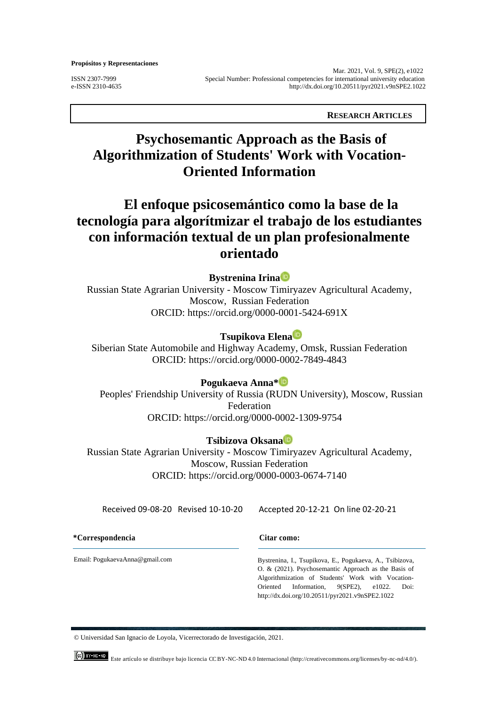**Propósitos y Representaciones** 

 Mar. 2021, Vol. 9, SPE(2), e1022 ISSN 2307-7999 Special Number: Professional competencies for international university education e-ISSN 2310-4635 <http://dx.doi.org/10.20511/pyr2021.v9nSPE2.1022>

 **RESEARCH ARTICLES**

# **Psychosemantic Approach as the Basis of Algorithmization of Students' Work with Vocation-Oriented Information**

# **El enfoque psicosemántico como la base de la tecnología para algorítmizar el trabajo de los estudiantes con información textual de un plan profesionalmente orientado**

## **Bystrenina Irin[a](https://orcid.org/0000-0001-5424-691X)**

Russian State Agrarian University - Moscow Timiryazev Agricultural Academy, Moscow, Russian Federation ORCID: <https://orcid.org/0000-0001-5424-691X>

# **Tsupikova Elen[a](https://orcid.org/0000-0002-7849-4843)**

Siberian State Automobile and Highway Academy, Omsk, Russian Federation ORCID: <https://orcid.org/0000-0002-7849-4843>

## **Pogukaeva Anna[\\*](https://orcid.org/0000-0002-1309-9754)**

Peoples' Friendship University of Russia (RUDN University), Moscow, Russian Federation ORCID:<https://orcid.org/0000-0002-1309-9754>

# **Tsibizova Oksan[a](https://orcid.org/0000-0003-0674-7140)**

Russian State Agrarian University - Moscow Timiryazev Agricultural Academy, Moscow, Russian Federation ORCID: [https://orcid.org/0000-0003-0674-7140](https://orcid.org/0000-0003-2045-343X)

Received 09-08-20 Revised 10-10-20 Accepted 20-12-21 On line 02-20-21

**\*Correspondencia Citar como:**

Email: PogukaevaAnna@gmail.com

Bystrenina, I., Tsupikova, E., Pogukaeva, A., Tsibizova, O. & (2021). Psychosemantic Approach as the Basis of Algorithmization of Students' Work with Vocation-Oriented Information*, 9*(SPE2), e1022. Doi: http://dx.doi.org/10.20511/pyr2021.v9nSPE2.1022

© Universidad San Ignacio de Loyola, Vicerrectorado de Investigación, 2021.

Este artículo se distribuye bajo licencia CC BY-NC-ND 4.0 Internacional [\(http://creativecommons.org/licenses/by-nc-nd/4.0/\).](http://creativecommons.org/licenses/by-nc-nd/4.0/).)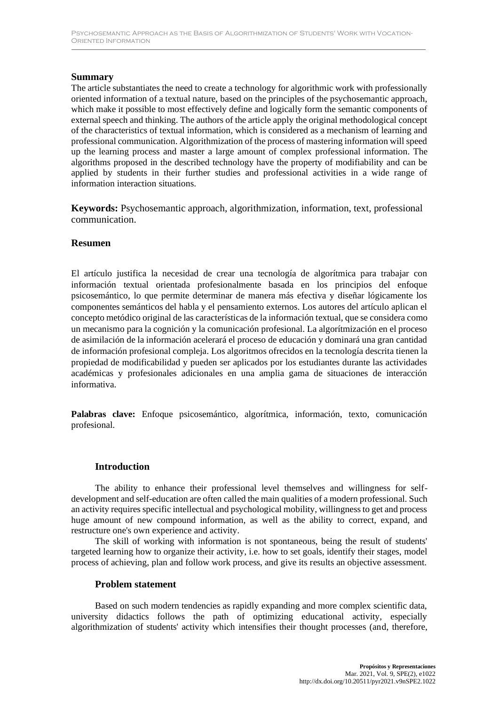### **Summary**

The article substantiates the need to create a technology for algorithmic work with professionally oriented information of a textual nature, based on the principles of the psychosemantic approach, which make it possible to most effectively define and logically form the semantic components of external speech and thinking. The authors of the article apply the original methodological concept of the characteristics of textual information, which is considered as a mechanism of learning and professional communication. Algorithmization of the process of mastering information will speed up the learning process and master a large amount of complex professional information. The algorithms proposed in the described technology have the property of modifiability and can be applied by students in their further studies and professional activities in a wide range of information interaction situations.

**Keywords:** Psychosemantic approach, algorithmization, information, text, professional communication.

#### **Resumen**

El artículo justifica la necesidad de crear una tecnología de algorítmica para trabajar con información textual orientada profesionalmente basada en los principios del enfoque psicosemántico, lo que permite determinar de manera más efectiva y diseñar lógicamente los componentes semánticos del habla y el pensamiento externos. Los autores del artículo aplican el concepto metódico original de las características de la información textual, que se considera como un mecanismo para la cognición y la comunicación profesional. La algorítmización en el proceso de asimilación de la información acelerará el proceso de educación y dominará una gran cantidad de información profesional compleja. Los algoritmos ofrecidos en la tecnología descrita tienen la propiedad de modificabilidad y pueden ser aplicados por los estudiantes durante las actividades académicas y profesionales adicionales en una amplia gama de situaciones de interacción informativa.

**Palabras clave:** Enfoque psicosemántico, algorítmica, información, texto, comunicación profesional.

#### **Introduction**

The ability to enhance their professional level themselves and willingness for selfdevelopment and self-education are often called the main qualities of a modern professional. Such an activity requires specific intellectual and psychological mobility, willingness to get and process huge amount of new compound information, as well as the ability to correct, expand, and restructure one's own experience and activity.

The skill of working with information is not spontaneous, being the result of students' targeted learning how to organize their activity, i.e. how to set goals, identify their stages, model process of achieving, plan and follow work process, and give its results an objective assessment.

#### **Problem statement**

Based on such modern tendencies as rapidly expanding and more complex scientific data, university didactics follows the path of optimizing educational activity, especially algorithmization of students' activity which intensifies their thought processes (and, therefore,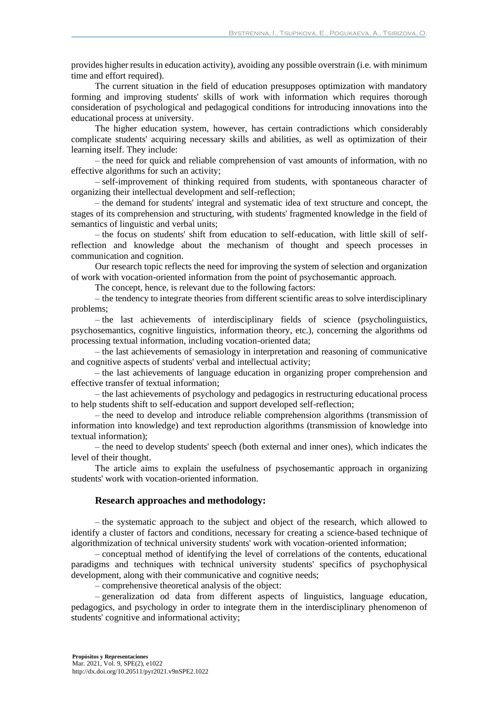provides higher results in education activity), avoiding any possible overstrain (i.e. with minimum time and effort required).

The current situation in the field of education presupposes optimization with mandatory forming and improving students' skills of work with information which requires thorough consideration of psychological and pedagogical conditions for introducing innovations into the educational process at university.

The higher education system, however, has certain contradictions which considerably complicate students' acquiring necessary skills and abilities, as well as optimization of their learning itself. They include:

– the need for quick and reliable comprehension of vast amounts of information, with no effective algorithms for such an activity;

– self-improvement of thinking required from students, with spontaneous character of organizing their intellectual development and self-reflection;

– the demand for students' integral and systematic idea of text structure and concept, the stages of its comprehension and structuring, with students' fragmented knowledge in the field of semantics of linguistic and verbal units;

– the focus on students' shift from education to self-education, with little skill of selfreflection and knowledge about the mechanism of thought and speech processes in communication and cognition.

Our research topic reflects the need for improving the system of selection and organization of work with vocation-oriented information from the point of psychosemantic approach.

The concept, hence, is relevant due to the following factors:

– the tendency to integrate theories from different scientific areas to solve interdisciplinary problems;

– the last achievements of interdisciplinary fields of science (psycholinguistics, psychosemantics, cognitive linguistics, information theory, etc.), concerning the algorithms od processing textual information, including vocation-oriented data;

– the last achievements of semasiology in interpretation and reasoning of communicative and cognitive aspects of students' verbal and intellectual activity;

– the last achievements of language education in organizing proper comprehension and effective transfer of textual information;

– the last achievements of psychology and pedagogics in restructuring educational process to help students shift to self-education and support developed self-reflection;

– the need to develop and introduce reliable comprehension algorithms (transmission of information into knowledge) and text reproduction algorithms (transmission of knowledge into textual information);

– the need to develop students' speech (both external and inner ones), which indicates the level of their thought.

The article aims to explain the usefulness of psychosemantic approach in organizing students' work with vocation-oriented information.

#### **Research approaches and methodology:**

– the systematic approach to the subject and object of the research, which allowed to identify a cluster of factors and conditions, necessary for creating a science-based technique of algorithmization of technical university students' work with vocation-oriented information;

– conceptual method of identifying the level of correlations of the contents, educational paradigms and techniques with technical university students' specifics of psychophysical development, along with their communicative and cognitive needs;

– comprehensive theoretical analysis of the object:

– generalization od data from different aspects of linguistics, language education, pedagogics, and psychology in order to integrate them in the interdisciplinary phenomenon of students' cognitive and informational activity;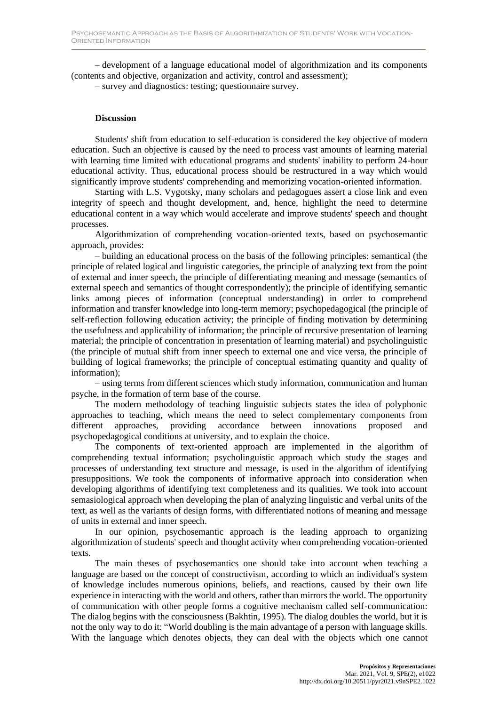– development of a language educational model of algorithmization and its components (contents and objective, organization and activity, control and assessment);

– survey and diagnostics: testing; questionnaire survey.

#### **Discussion**

Students' shift from education to self-education is considered the key objective of modern education. Such an objective is caused by the need to process vast amounts of learning material with learning time limited with educational programs and students' inability to perform 24-hour educational activity. Thus, educational process should be restructured in a way which would significantly improve students' comprehending and memorizing vocation-oriented information.

Starting with L.S. Vygotsky, many scholars and pedagogues assert a close link and even integrity of speech and thought development, and, hence, highlight the need to determine educational content in a way which would accelerate and improve students' speech and thought processes.

Algorithmization of comprehending vocation-oriented texts, based on psychosemantic approach, provides:

– building an educational process on the basis of the following principles: semantical (the principle of related logical and linguistic categories, the principle of analyzing text from the point of external and inner speech, the principle of differentiating meaning and message (semantics of external speech and semantics of thought correspondently); the principle of identifying semantic links among pieces of information (conceptual understanding) in order to comprehend information and transfer knowledge into long-term memory; psychopedagogical (the principle of self-reflection following education activity; the principle of finding motivation by determining the usefulness and applicability of information; the principle of recursive presentation of learning material; the principle of concentration in presentation of learning material) and psycholinguistic (the principle of mutual shift from inner speech to external one and vice versa, the principle of building of logical frameworks; the principle of conceptual estimating quantity and quality of information);

– using terms from different sciences which study information, communication and human psyche, in the formation of term base of the course.

The modern methodology of teaching linguistic subjects states the idea of polyphonic approaches to teaching, which means the need to select complementary components from different approaches, providing accordance between innovations proposed and psychopedagogical conditions at university, and to explain the choice.

The components of text-oriented approach are implemented in the algorithm of comprehending textual information; psycholinguistic approach which study the stages and processes of understanding text structure and message, is used in the algorithm of identifying presuppositions. We took the components of informative approach into consideration when developing algorithms of identifying text completeness and its qualities. We took into account semasiological approach when developing the plan of analyzing linguistic and verbal units of the text, as well as the variants of design forms, with differentiated notions of meaning and message of units in external and inner speech.

In our opinion, psychosemantic approach is the leading approach to organizing algorithmization of students' speech and thought activity when comprehending vocation-oriented texts.

The main theses of psychosemantics one should take into account when teaching a language are based on the concept of constructivism, according to which an individual's system of knowledge includes numerous opinions, beliefs, and reactions, caused by their own life experience in interacting with the world and others, rather than mirrors the world. The opportunity of communication with other people forms a cognitive mechanism called self-communication: The dialog begins with the consciousness (Bakhtin, 1995). The dialog doubles the world, but it is not the only way to do it: "World doubling is the main advantage of a person with language skills. With the language which denotes objects, they can deal with the objects which one cannot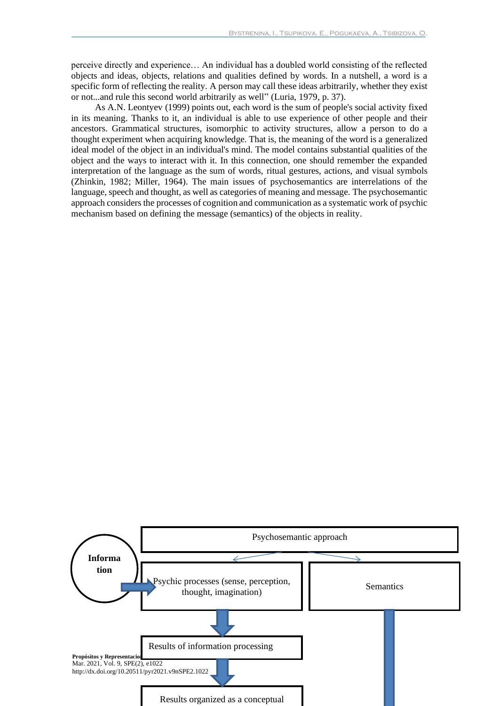perceive directly and experience… An individual has a doubled world consisting of the reflected objects and ideas, objects, relations and qualities defined by words. In a nutshell, a word is a specific form of reflecting the reality. A person may call these ideas arbitrarily, whether they exist or not...and rule this second world arbitrarily as well" (Luria, 1979, p. 37).

As A.N. Leontyev (1999) points out, each word is the sum of people's social activity fixed in its meaning. Thanks to it, an individual is able to use experience of other people and their ancestors. Grammatical structures, isomorphic to activity structures, allow a person to do a thought experiment when acquiring knowledge. That is, the meaning of the word is a generalized ideal model of the object in an individual's mind. The model contains substantial qualities of the object and the ways to interact with it. In this connection, one should remember the expanded interpretation of the language as the sum of words, ritual gestures, actions, and visual symbols (Zhinkin, 1982; Miller, 1964). The main issues of psychosemantics are interrelations of the language, speech and thought, as well as categories of meaning and message. The psychosemantic approach considers the processes of cognition and communication as a systematic work of psychic mechanism based on defining the message (semantics) of the objects in reality.

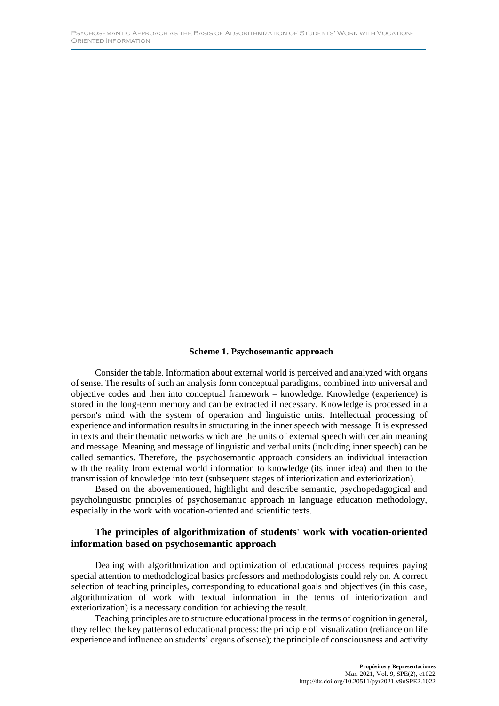#### **Scheme 1. Psychosemantic approach**

Consider the table. Information about external world is perceived and analyzed with organs of sense. The results of such an analysis form conceptual paradigms, combined into universal and objective codes and then into conceptual framework – knowledge. Knowledge (experience) is stored in the long-term memory and can be extracted if necessary. Knowledge is processed in a person's mind with the system of operation and linguistic units. Intellectual processing of experience and information results in structuring in the inner speech with message. It is expressed in texts and their thematic networks which are the units of external speech with certain meaning and message. Meaning and message of linguistic and verbal units (including inner speech) can be called semantics. Therefore, the psychosemantic approach considers an individual interaction with the reality from external world information to knowledge (its inner idea) and then to the transmission of knowledge into text (subsequent stages of interiorization and exteriorization).

Based on the abovementioned, highlight and describe semantic, psychopedagogical and psycholinguistic principles of psychosemantic approach in language education methodology, especially in the work with vocation-oriented and scientific texts.

#### **The principles of algorithmization of students' work with vocation-oriented information based on psychosemantic approach**

Dealing with algorithmization and optimization of educational process requires paying special attention to methodological basics professors and methodologists could rely on. A correct selection of teaching principles, corresponding to educational goals and objectives (in this case, algorithmization of work with textual information in the terms of interiorization and exteriorization) is a necessary condition for achieving the result.

Teaching principles are to structure educational process in the terms of cognition in general, they reflect the key patterns of educational process: the principle of visualization (reliance on life experience and influence on students' organs of sense); the principle of consciousness and activity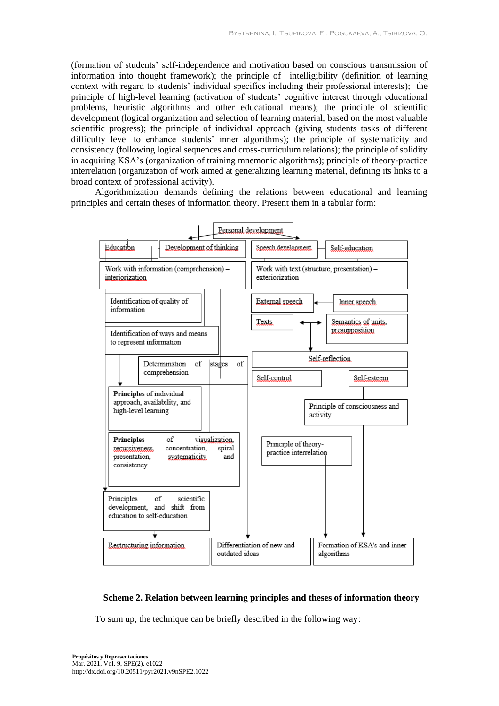(formation of students' self-independence and motivation based on conscious transmission of information into thought framework); the principle of intelligibility (definition of learning context with regard to students' individual specifics including their professional interests); the principle of high-level learning (activation of students' cognitive interest through educational problems, heuristic algorithms and other educational means); the principle of scientific development (logical organization and selection of learning material, based on the most valuable scientific progress); the principle of individual approach (giving students tasks of different difficulty level to enhance students' inner algorithms); the principle of systematicity and consistency (following logical sequences and cross-curriculum relations); the principle of solidity in acquiring KSA's (organization of training mnemonic algorithms); principle of theory-practice interrelation (organization of work aimed at generalizing learning material, defining its links to a broad context of professional activity).

Algorithmization demands defining the relations between educational and learning principles and certain theses of information theory. Present them in a tabular form:



#### **Scheme 2. Relation between learning principles and theses of information theory**

To sum up, the technique can be briefly described in the following way: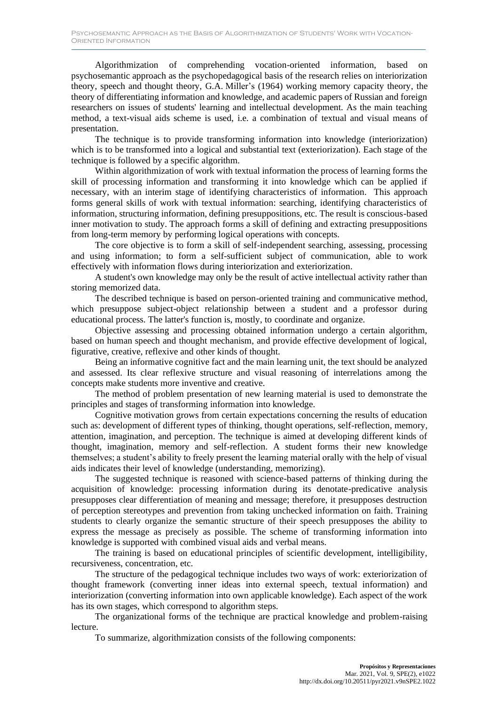Algorithmization of comprehending vocation-oriented information, based on psychosemantic approach as the psychopedagogical basis of the research relies on interiorization theory, speech and thought theory, G.A. Miller's (1964) working memory capacity theory, the theory of differentiating information and knowledge, and academic papers of Russian and foreign researchers on issues of students' learning and intellectual development. As the main teaching method, a text-visual aids scheme is used, i.e. a combination of textual and visual means of presentation.

The technique is to provide transforming information into knowledge (interiorization) which is to be transformed into a logical and substantial text (exteriorization). Each stage of the technique is followed by a specific algorithm.

Within algorithmization of work with textual information the process of learning forms the skill of processing information and transforming it into knowledge which can be applied if necessary, with an interim stage of identifying characteristics of information. This approach forms general skills of work with textual information: searching, identifying characteristics of information, structuring information, defining presuppositions, etc. The result is conscious-based inner motivation to study. The approach forms a skill of defining and extracting presuppositions from long-term memory by performing logical operations with concepts.

The core objective is to form a skill of self-independent searching, assessing, processing and using information; to form a self-sufficient subject of communication, able to work effectively with information flows during interiorization and exteriorization.

A student's own knowledge may only be the result of active intellectual activity rather than storing memorized data.

The described technique is based on person-oriented training and communicative method, which presuppose subject-object relationship between a student and a professor during educational process. The latter's function is, mostly, to coordinate and organize.

Objective assessing and processing obtained information undergo a certain algorithm, based on human speech and thought mechanism, and provide effective development of logical, figurative, creative, reflexive and other kinds of thought.

Being an informative cognitive fact and the main learning unit, the text should be analyzed and assessed. Its clear reflexive structure and visual reasoning of interrelations among the concepts make students more inventive and creative.

The method of problem presentation of new learning material is used to demonstrate the principles and stages of transforming information into knowledge.

Cognitive motivation grows from certain expectations concerning the results of education such as: development of different types of thinking, thought operations, self-reflection, memory, attention, imagination, and perception. The technique is aimed at developing different kinds of thought, imagination, memory and self-reflection. A student forms their new knowledge themselves; a student's ability to freely present the learning material orally with the help of visual aids indicates their level of knowledge (understanding, memorizing).

The suggested technique is reasoned with science-based patterns of thinking during the acquisition of knowledge: processing information during its denotate-predicative analysis presupposes clear differentiation of meaning and message; therefore, it presupposes destruction of perception stereotypes and prevention from taking unchecked information on faith. Training students to clearly organize the semantic structure of their speech presupposes the ability to express the message as precisely as possible. The scheme of transforming information into knowledge is supported with combined visual aids and verbal means.

The training is based on educational principles of scientific development, intelligibility, recursiveness, concentration, etc.

The structure of the pedagogical technique includes two ways of work: exteriorization of thought framework (converting inner ideas into external speech, textual information) and interiorization (converting information into own applicable knowledge). Each aspect of the work has its own stages, which correspond to algorithm steps.

The organizational forms of the technique are practical knowledge and problem-raising lecture.

To summarize, algorithmization consists of the following components: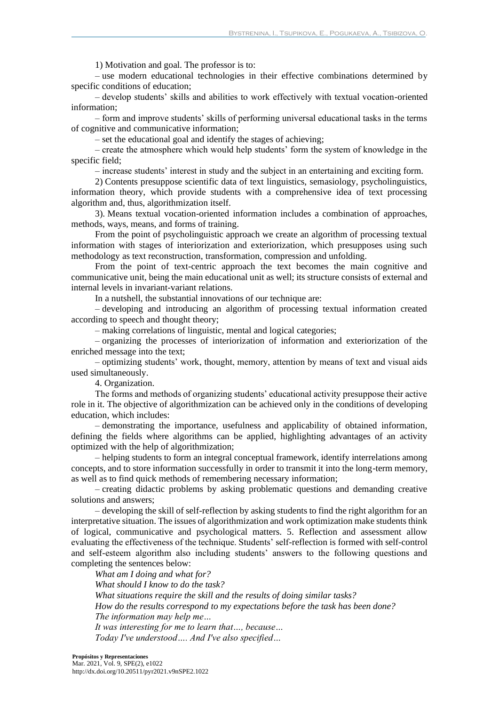1) Motivation and goal. The professor is to:

– use modern educational technologies in their effective combinations determined by specific conditions of education;

– develop students' skills and abilities to work effectively with textual vocation-oriented information;

– form and improve students' skills of performing universal educational tasks in the terms of cognitive and communicative information;

– set the educational goal and identify the stages of achieving;

– create the atmosphere which would help students' form the system of knowledge in the specific field;

– increase students' interest in study and the subject in an entertaining and exciting form.

2) Contents presuppose scientific data of text linguistics, semasiology, psycholinguistics, information theory, which provide students with a comprehensive idea of text processing algorithm and, thus, algorithmization itself.

3). Means textual vocation-oriented information includes a combination of approaches, methods, ways, means, and forms of training.

From the point of psycholinguistic approach we create an algorithm of processing textual information with stages of interiorization and exteriorization, which presupposes using such methodology as text reconstruction, transformation, compression and unfolding.

From the point of text-centric approach the text becomes the main cognitive and communicative unit, being the main educational unit as well; its structure consists of external and internal levels in invariant-variant relations.

In a nutshell, the substantial innovations of our technique are:

– developing and introducing an algorithm of processing textual information created according to speech and thought theory;

– making correlations of linguistic, mental and logical categories;

– organizing the processes of interiorization of information and exteriorization of the enriched message into the text;

– optimizing students' work, thought, memory, attention by means of text and visual aids used simultaneously.

4. Organization.

The forms and methods of organizing students' educational activity presuppose their active role in it. The objective of algorithmization can be achieved only in the conditions of developing education, which includes:

– demonstrating the importance, usefulness and applicability of obtained information, defining the fields where algorithms can be applied, highlighting advantages of an activity optimized with the help of algorithmization;

– helping students to form an integral conceptual framework, identify interrelations among concepts, and to store information successfully in order to transmit it into the long-term memory, as well as to find quick methods of remembering necessary information;

– creating didactic problems by asking problematic questions and demanding creative solutions and answers;

– developing the skill of self-reflection by asking students to find the right algorithm for an interpretative situation. The issues of algorithmization and work optimization make students think of logical, communicative and psychological matters. 5. Reflection and assessment allow evaluating the effectiveness of the technique. Students' self-reflection is formed with self-control and self-esteem algorithm also including students' answers to the following questions and completing the sentences below:

*What am I doing and what for? What should I know to do the task? What situations require the skill and the results of doing similar tasks? How do the results correspond to my expectations before the task has been done? The information may help me… It was interesting for me to learn that…, because… Today I've understood…. And I've also specified…*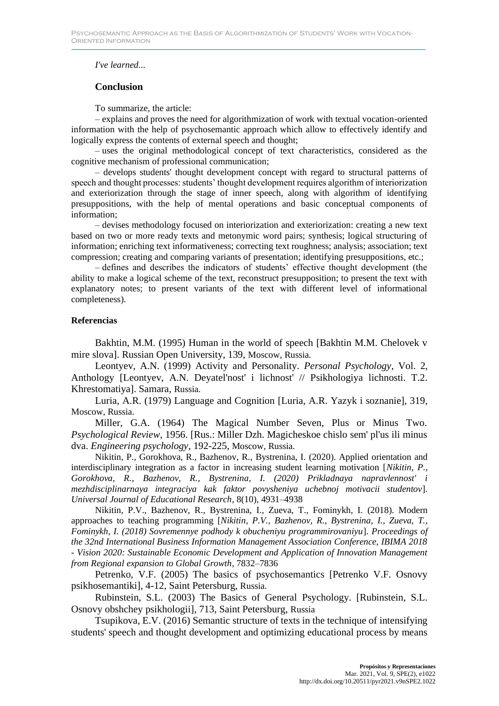### *I've learned...*

## **Conclusion**

To summarize, the article:

– explains and proves the need for algorithmization of work with textual vocation-oriented information with the help of psychosemantic approach which allow to effectively identify and logically express the contents of external speech and thought;

– uses the original methodological concept of text characteristics, considered as the cognitive mechanism of professional communication;

– develops students' thought development concept with regard to structural patterns of speech and thought processes: students' thought development requires algorithm of interiorization and exteriorization through the stage of inner speech, along with algorithm of identifying presuppositions, with the help of mental operations and basic conceptual components of information;

– devises methodology focused on interiorization and exteriorization: creating a new text based on two or more ready texts and metonymic word pairs; synthesis; logical structuring of information; enriching text informativeness; correcting text roughness; analysis; association; text compression; creating and comparing variants of presentation; identifying presuppositions, etc.;

– defines and describes the indicators of students' effective thought development (the ability to make a logical scheme of the text, reconstruct presupposition; to present the text with explanatory notes; to present variants of the text with different level of informational completeness).

#### **Referencias**

Bakhtin, M.M. (1995) Human in the world of speech [Bakhtin M.M. Chelovek v mire slova]. Russian Open University, 139, Moscow, Russia.

Leontyev, A.N. (1999) Activity and Personality. *Personal Psychology*, Vol. 2, Anthology [Leontyev, A.N. Deyatel'nost' i lichnost' // Psikhologiya lichnosti. T.2. Khrestomatiya]. Samara, Russia.

Luria, A.R. (1979) Language and Cognition [Luria, A.R. Yazyk i soznanie], 319, Moscow, Russia.

Miller, G.A. (1964) The Magical Number Seven, Plus or Minus Two. *Psychological Review*, 1956. [Rus.: Miller Dzh. Magicheskoe chislo sem' pl'us ili minus dva. *Engineering psychology*, 192-225, Moscow, Russia.

[Nikitin, P.,](https://www.scopus.com/authid/detail.uri?authorId=57220469405) [Gorokhova, R.,](https://www.scopus.com/authid/detail.uri?authorId=57201383213) [Bazhenov, R.,](https://www.scopus.com/authid/detail.uri?authorId=56285414900) [Bystrenina, I.](https://www.scopus.com/authid/detail.uri?authorId=57207841878) (2020). Applied orientation and interdisciplinary integration as a factor in increasing student learning motivation [*[Nikitin, P.,](https://www.scopus.com/authid/detail.uri?authorId=57220469405) [Gorokhova, R.,](https://www.scopus.com/authid/detail.uri?authorId=57201383213) [Bazhenov, R.,](https://www.scopus.com/authid/detail.uri?authorId=56285414900) [Bystrenina, I.](https://www.scopus.com/authid/detail.uri?authorId=57207841878) (2020) Prikladnaya napravlennost' i mezhdisciplinarnaya integraciya kak faktor povysheniya uchebnoj motivacii studentov*]. *Universal Journal of Educational Research*, 8(10), 4931–4938

[Nikitin, P.V.,](https://www.scopus.com/authid/detail.uri?authorId=57193445599) [Bazhenov, R.,](https://www.scopus.com/authid/detail.uri?authorId=56285414900) [Bystrenina, I.,](https://www.scopus.com/authid/detail.uri?authorId=57207841878) [Zueva, T.,](https://www.scopus.com/authid/detail.uri?authorId=56533833000) [Fominykh, I.](https://www.scopus.com/authid/detail.uri?authorId=57191200263) (2018). Modern approaches to teaching programming [*[Nikitin, P.V.,](https://www.scopus.com/authid/detail.uri?authorId=57193445599) [Bazhenov, R.,](https://www.scopus.com/authid/detail.uri?authorId=56285414900) [Bystrenina, I.,](https://www.scopus.com/authid/detail.uri?authorId=57207841878) [Zueva, T.,](https://www.scopus.com/authid/detail.uri?authorId=56533833000) [Fominykh, I.](https://www.scopus.com/authid/detail.uri?authorId=57191200263) (2018) Sovremennye podhody k obucheniyu programmirovaniyu*]. *Proceedings of the 32nd International Business Information Management Association Conference, IBIMA 2018 - Vision 2020: Sustainable Economic Development and Application of Innovation Management from Regional expansion to Global Growth*, 7832–7836

Petrenko, V.F. (2005) The basics of psychosemantics [Petrenko V.F. Osnovy psikhosemantiki], 4-12, Saint Petersburg, Russia.

Rubinstein, S.L. (2003) The Basics of General Psychology. [Rubinstein, S.L. Osnovy obshchey psikhologii], 713, Saint Petersburg, Russia

Tsupikova, E.V. (2016) Semantic structure of texts in the technique of intensifying students' speech and thought development and optimizing educational process by means